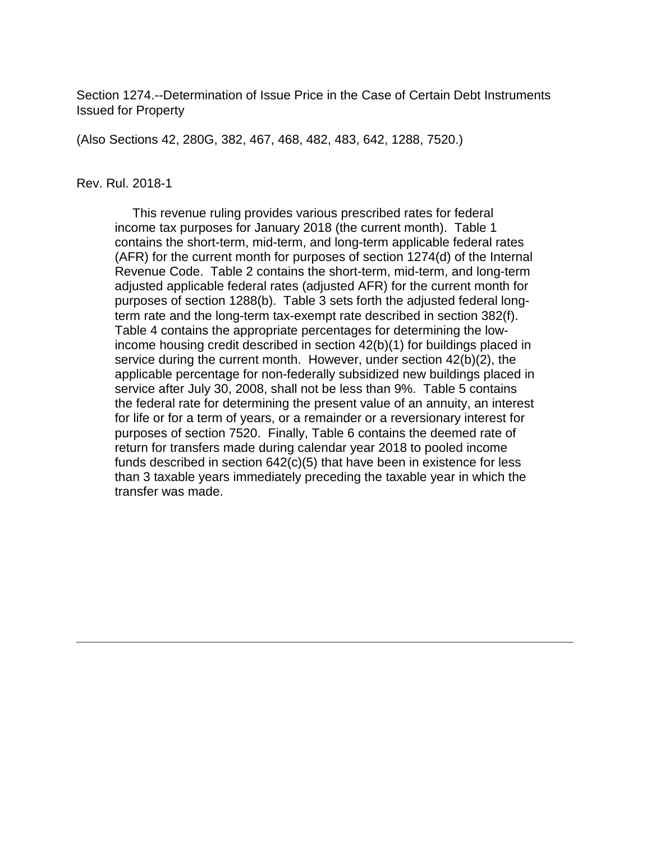Section 1274.--Determination of Issue Price in the Case of Certain Debt Instruments Issued for Property

(Also Sections 42, 280G, 382, 467, 468, 482, 483, 642, 1288, 7520.)

#### Rev. Rul. 2018-1

 This revenue ruling provides various prescribed rates for federal income tax purposes for January 2018 (the current month). Table 1 contains the short-term, mid-term, and long-term applicable federal rates (AFR) for the current month for purposes of section 1274(d) of the Internal Revenue Code. Table 2 contains the short-term, mid-term, and long-term adjusted applicable federal rates (adjusted AFR) for the current month for purposes of section 1288(b). Table 3 sets forth the adjusted federal longterm rate and the long-term tax-exempt rate described in section 382(f). Table 4 contains the appropriate percentages for determining the lowincome housing credit described in section 42(b)(1) for buildings placed in service during the current month. However, under section 42(b)(2), the applicable percentage for non-federally subsidized new buildings placed in service after July 30, 2008, shall not be less than 9%. Table 5 contains the federal rate for determining the present value of an annuity, an interest for life or for a term of years, or a remainder or a reversionary interest for purposes of section 7520. Finally, Table 6 contains the deemed rate of return for transfers made during calendar year 2018 to pooled income funds described in section 642(c)(5) that have been in existence for less than 3 taxable years immediately preceding the taxable year in which the transfer was made.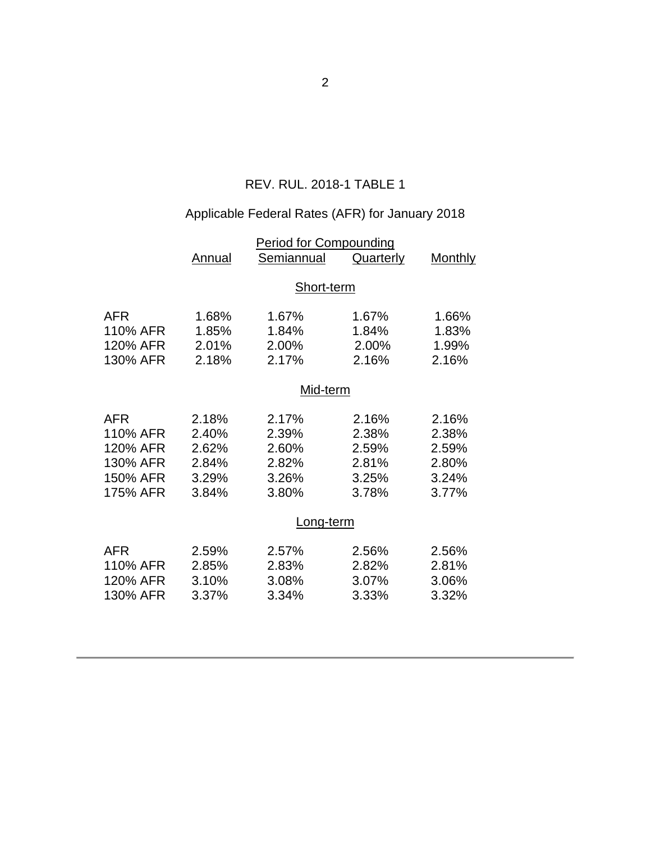## REV. RUL. 2018-1 TABLE 1

# Applicable Federal Rates (AFR) for January 2018

|                                                                        | <u>Period for Compounding</u>                      |                                                    |                                                    |                                                    |  |
|------------------------------------------------------------------------|----------------------------------------------------|----------------------------------------------------|----------------------------------------------------|----------------------------------------------------|--|
|                                                                        | <b>Annual</b>                                      | Semiannual                                         | Quarterly                                          | <b>Monthly</b>                                     |  |
|                                                                        |                                                    | Short-term                                         |                                                    |                                                    |  |
| <b>AFR</b><br>110% AFR<br>120% AFR<br>130% AFR                         | 1.68%<br>1.85%<br>2.01%<br>2.18%                   | 1.67%<br>1.84%<br>2.00%<br>2.17%                   | 1.67%<br>1.84%<br>2.00%<br>2.16%                   | 1.66%<br>1.83%<br>1.99%<br>2.16%                   |  |
|                                                                        | Mid-term                                           |                                                    |                                                    |                                                    |  |
| <b>AFR</b><br>110% AFR<br>120% AFR<br>130% AFR<br>150% AFR<br>175% AFR | 2.18%<br>2.40%<br>2.62%<br>2.84%<br>3.29%<br>3.84% | 2.17%<br>2.39%<br>2.60%<br>2.82%<br>3.26%<br>3.80% | 2.16%<br>2.38%<br>2.59%<br>2.81%<br>3.25%<br>3.78% | 2.16%<br>2.38%<br>2.59%<br>2.80%<br>3.24%<br>3.77% |  |
|                                                                        | Long-term                                          |                                                    |                                                    |                                                    |  |
| <b>AFR</b><br>110% AFR<br>120% AFR<br>130% AFR                         | 2.59%<br>2.85%<br>3.10%<br>3.37%                   | 2.57%<br>2.83%<br>3.08%<br>3.34%                   | 2.56%<br>2.82%<br>3.07%<br>3.33%                   | 2.56%<br>2.81%<br>3.06%<br>3.32%                   |  |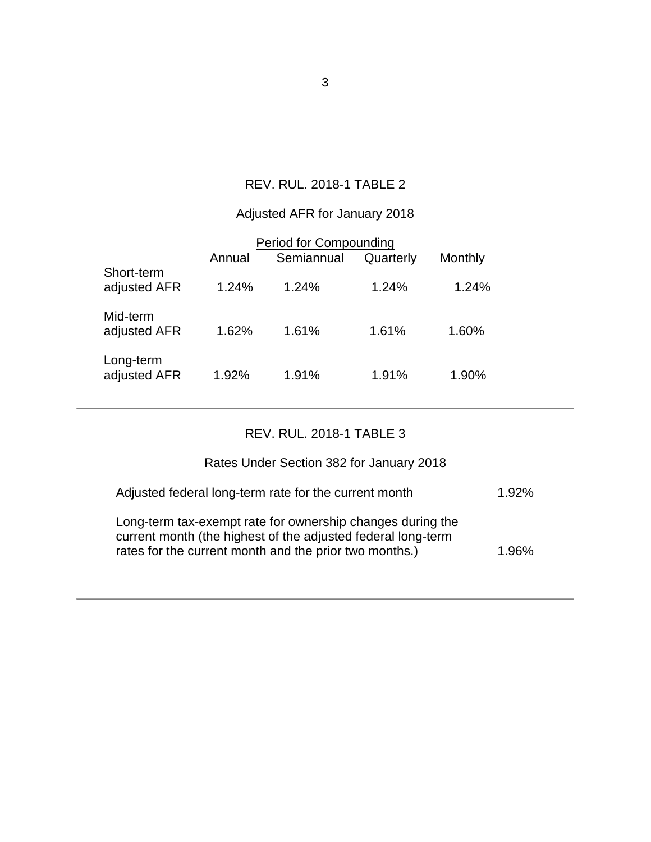## REV. RUL. 2018-1 TABLE 2

## Adjusted AFR for January 2018

|                            | Annual | <b>Period for Compounding</b><br>Semiannual | Quarterly | Monthly |  |
|----------------------------|--------|---------------------------------------------|-----------|---------|--|
| Short-term<br>adjusted AFR | 1.24%  | 1.24%                                       | 1.24%     | 1.24%   |  |
| Mid-term<br>adjusted AFR   | 1.62%  | 1.61%                                       | 1.61%     | 1.60%   |  |
| Long-term<br>adjusted AFR  | 1.92%  | 1.91%                                       | 1.91%     | 1.90%   |  |

## REV. RUL. 2018-1 TABLE 3

| Rates Under Section 382 for January 2018              |       |
|-------------------------------------------------------|-------|
| Adjusted federal long-term rate for the current month | 1.92% |

| Long-term tax-exempt rate for ownership changes during the   |       |
|--------------------------------------------------------------|-------|
| current month (the highest of the adjusted federal long-term |       |
| rates for the current month and the prior two months.)       | 1.96% |